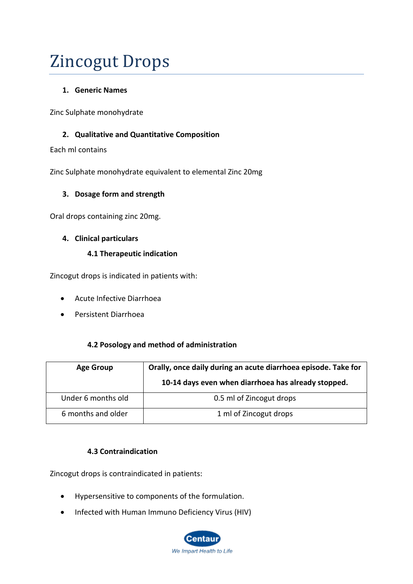# Zincogut Drops

# **1. Generic Names**

Zinc Sulphate monohydrate

# **2. Qualitative and Quantitative Composition**

Each ml contains

Zinc Sulphate monohydrate equivalent to elemental Zinc 20mg

# **3. Dosage form and strength**

Oral drops containing zinc 20mg.

# **4. Clinical particulars**

# **4.1 Therapeutic indication**

Zincogut drops is indicated in patients with:

- Acute Infective Diarrhoea
- Persistent Diarrhoea

# **4.2 Posology and method of administration**

| <b>Age Group</b>   | Orally, once daily during an acute diarrhoea episode. Take for<br>10-14 days even when diarrhoea has already stopped. |
|--------------------|-----------------------------------------------------------------------------------------------------------------------|
| Under 6 months old | 0.5 ml of Zincogut drops                                                                                              |
| 6 months and older | 1 ml of Zincogut drops                                                                                                |

# **4.3 Contraindication**

Zincogut drops is contraindicated in patients:

- Hypersensitive to components of the formulation.
- Infected with Human Immuno Deficiency Virus (HIV)

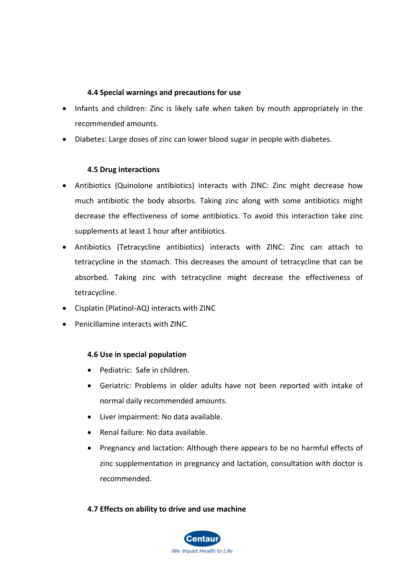# **4.4 Special warnings and precautions for use**

- Infants and children: Zinc is likely safe when taken by mouth appropriately in the recommended amounts.
- Diabetes: Large doses of zinc can lower blood sugar in people with diabetes.

#### **4.5 Drug interactions**

- Antibiotics (Quinolone antibiotics) interacts with ZINC: Zinc might decrease how much antibiotic the body absorbs. Taking zinc along with some antibiotics might decrease the effectiveness of some antibiotics. To avoid this interaction take zinc supplements at least 1 hour after antibiotics.
- Antibiotics (Tetracycline antibiotics) interacts with ZINC: Zinc can attach to tetracycline in the stomach. This decreases the amount of tetracycline that can be absorbed. Taking zinc with tetracycline might decrease the effectiveness of tetracycline.
- Cisplatin (Platinol-AQ) interacts with ZINC
- Penicillamine interacts with ZINC.

# **4.6 Use in special population**

- Pediatric: Safe in children.
- Geriatric: Problems in older adults have not been reported with intake of normal daily recommended amounts.
- Liver impairment: No data available.
- Renal failure: No data available.
- Pregnancy and lactation: Although there appears to be no harmful effects of zinc supplementation in pregnancy and lactation, consultation with doctor is recommended.

# **4.7 Effects on ability to drive and use machine**

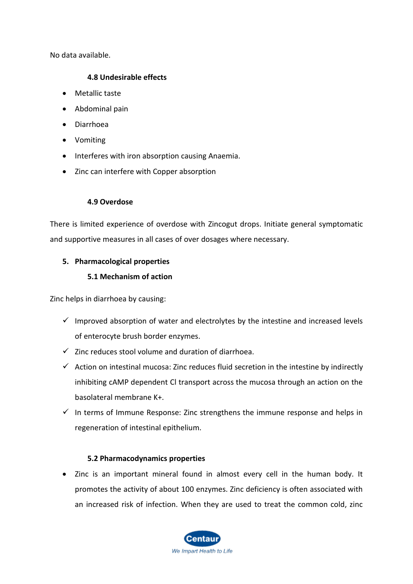No data available.

#### **4.8 Undesirable effects**

- Metallic taste
- Abdominal pain
- Diarrhoea
- Vomiting
- Interferes with iron absorption causing Anaemia.
- Zinc can interfere with Copper absorption

#### **4.9 Overdose**

There is limited experience of overdose with Zincogut drops. Initiate general symptomatic and supportive measures in all cases of over dosages where necessary.

# **5. Pharmacological properties**

# **5.1 Mechanism of action**

Zinc helps in diarrhoea by causing:

- $\checkmark$  Improved absorption of water and electrolytes by the intestine and increased levels of enterocyte brush border enzymes.
- $\checkmark$  Zinc reduces stool volume and duration of diarrhoea.
- $\checkmark$  Action on intestinal mucosa: Zinc reduces fluid secretion in the intestine by indirectly inhibiting cAMP dependent Cl transport across the mucosa through an action on the basolateral membrane K+.
- $\checkmark$  In terms of Immune Response: Zinc strengthens the immune response and helps in regeneration of intestinal epithelium.

# **5.2 Pharmacodynamics properties**

• Zinc is an important mineral found in almost every cell in the human body. It promotes the activity of about 100 enzymes. Zinc deficiency is often associated with an increased risk of infection. When they are used to treat the common cold, zinc

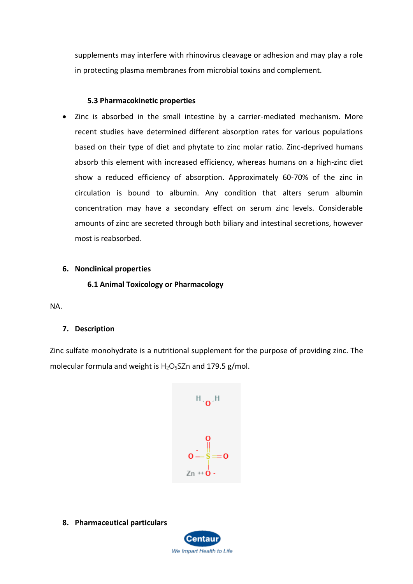supplements may interfere with rhinovirus cleavage or adhesion and may play a role in protecting plasma membranes from microbial toxins and complement.

#### **5.3 Pharmacokinetic properties**

• Zinc is absorbed in the small intestine by a carrier-mediated mechanism. More recent studies have determined different absorption rates for various populations based on their type of diet and phytate to zinc molar ratio. Zinc-deprived humans absorb this element with increased efficiency, whereas humans on a high-zinc diet show a reduced efficiency of absorption. Approximately 60-70% of the zinc in circulation is bound to albumin. Any condition that alters serum albumin concentration may have a secondary effect on serum zinc levels. Considerable amounts of zinc are secreted through both biliary and intestinal secretions, however most is reabsorbed.

#### **6. Nonclinical properties**

**6.1 Animal Toxicology or Pharmacology**

NA.

# **7. Description**

Zinc sulfate monohydrate is a nutritional supplement for the purpose of providing [zinc.](https://pubchem.ncbi.nlm.nih.gov/element/Zinc) The molecular formula and weight is  $H_2O_5SZn$  and 179.5 g/mol.



**8. Pharmaceutical particulars**

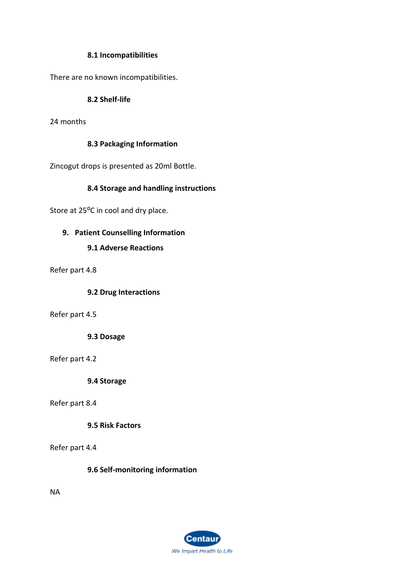#### **8.1 Incompatibilities**

There are no known incompatibilities.

#### **8.2 Shelf-life**

24 months

#### **8.3 Packaging Information**

Zincogut drops is presented as 20ml Bottle.

#### **8.4 Storage and handling instructions**

Store at 25<sup>o</sup>C in cool and dry place.

# **9. Patient Counselling Information**

#### **9.1 Adverse Reactions**

Refer part 4.8

#### **9.2 Drug Interactions**

Refer part 4.5

**9.3 Dosage**

Refer part 4.2

**9.4 Storage**

#### Refer part 8.4

**9.5 Risk Factors**

Refer part 4.4

**9.6 Self-monitoring information**

NA